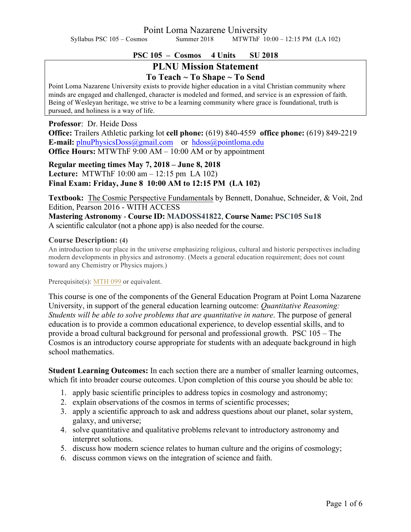Point Loma Nazarene University

Syllabus PSC 105 – Cosmos Summer 2018 MTWThF 10:00 – 12:15 PM (LA 102)

### **PSC 105 – Cosmos 4 Units SU 2018**

## **PLNU Mission Statement To Teach ~ To Shape ~ To Send**

Point Loma Nazarene University exists to provide higher education in a vital Christian community where minds are engaged and challenged, character is modeled and formed, and service is an expression of faith. Being of Wesleyan heritage, we strive to be a learning community where grace is foundational, truth is pursued, and holiness is a way of life.

#### **Professor**: Dr. Heide Doss

**Office:** Trailers Athletic parking lot **cell phone:** (619) 840-4559 **office phone:** (619) 849-2219 **E-mail:** plnuPhysicsDoss@gmail.com or hdoss@pointloma.edu **Office Hours:** MTWThF 9:00 AM – 10:00 AM or by appointment

**Regular meeting times May 7, 2018 – June 8, 2018 Lecture:** MTWThF 10:00 am – 12:15 pm LA 102) **Final Exam: Friday, June 8 10:00 AM to 12:15 PM (LA 102)**

**Textbook:** The Cosmic Perspective Fundamentals by Bennett, Donahue, Schneider, & Voit, 2nd Edition, Pearson 2016 - WITH ACCESS

**Mastering Astronomy** - **Course ID: MADOSS41822**, **Course Name: PSC105 Su18** A scientific calculator (not a phone app) is also needed for the course.

#### **Course Description: (4)**

An introduction to our place in the universe emphasizing religious, cultural and historic perspectives including modern developments in physics and astronomy. (Meets a general education requirement; does not count toward any Chemistry or Physics majors.)

#### Prerequisite(s): MTH 099 or equivalent.

This course is one of the components of the General Education Program at Point Loma Nazarene University, in support of the general education learning outcome: *Quantitative Reasoning: Students will be able to solve problems that are quantitative in nature*. The purpose of general education is to provide a common educational experience, to develop essential skills, and to provide a broad cultural background for personal and professional growth. PSC 105 – The Cosmos is an introductory course appropriate for students with an adequate background in high school mathematics.

**Student Learning Outcomes:** In each section there are a number of smaller learning outcomes, which fit into broader course outcomes. Upon completion of this course you should be able to:

- 1. apply basic scientific principles to address topics in cosmology and astronomy;
- 2. explain observations of the cosmos in terms of scientific processes;
- 3. apply a scientific approach to ask and address questions about our planet, solar system, galaxy, and universe;
- 4. solve quantitative and qualitative problems relevant to introductory astronomy and interpret solutions.
- 5. discuss how modern science relates to human culture and the origins of cosmology;
- 6. discuss common views on the integration of science and faith.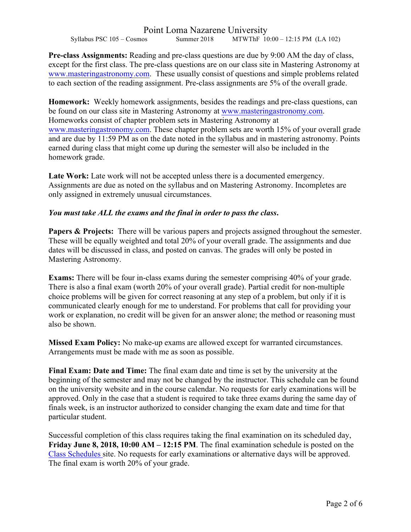# Point Loma Nazarene University<br>Summer 2018 MTWThF 10

Syllabus PSC 105 – Cosmos Summer 2018 MTWThF 10:00 – 12:15 PM (LA 102)

**Pre-class Assignments:** Reading and pre-class questions are due by 9:00 AM the day of class, except for the first class. The pre-class questions are on our class site in Mastering Astronomy at www.masteringastronomy.com. These usually consist of questions and simple problems related to each section of the reading assignment. Pre-class assignments are 5% of the overall grade.

**Homework:** Weekly homework assignments, besides the readings and pre-class questions, can be found on our class site in Mastering Astronomy at www.masteringastronomy.com. Homeworks consist of chapter problem sets in Mastering Astronomy at www.masteringastronomy.com. These chapter problem sets are worth 15% of your overall grade and are due by 11:59 PM as on the date noted in the syllabus and in mastering astronomy. Points earned during class that might come up during the semester will also be included in the homework grade.

Late Work: Late work will not be accepted unless there is a documented emergency. Assignments are due as noted on the syllabus and on Mastering Astronomy. Incompletes are only assigned in extremely unusual circumstances.

## *You must take ALL the exams and the final in order to pass the class***.**

**Papers & Projects:** There will be various papers and projects assigned throughout the semester. These will be equally weighted and total 20% of your overall grade. The assignments and due dates will be discussed in class, and posted on canvas. The grades will only be posted in Mastering Astronomy.

**Exams:** There will be four in-class exams during the semester comprising 40% of your grade. There is also a final exam (worth 20% of your overall grade). Partial credit for non-multiple choice problems will be given for correct reasoning at any step of a problem, but only if it is communicated clearly enough for me to understand. For problems that call for providing your work or explanation, no credit will be given for an answer alone; the method or reasoning must also be shown.

**Missed Exam Policy:** No make-up exams are allowed except for warranted circumstances. Arrangements must be made with me as soon as possible.

**Final Exam: Date and Time:** The final exam date and time is set by the university at the beginning of the semester and may not be changed by the instructor. This schedule can be found on the university website and in the course calendar. No requests for early examinations will be approved. Only in the case that a student is required to take three exams during the same day of finals week, is an instructor authorized to consider changing the exam date and time for that particular student.

Successful completion of this class requires taking the final examination on its scheduled day, **Friday June 8, 2018, 10:00 AM – 12:15 PM**. The final examination schedule is posted on the Class Schedules site. No requests for early examinations or alternative days will be approved. The final exam is worth 20% of your grade.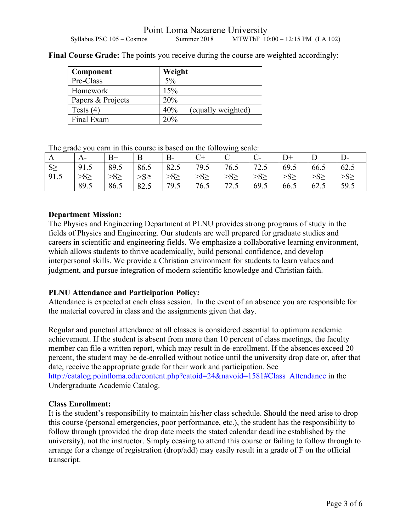| Component         | Weight                    |
|-------------------|---------------------------|
| Pre-Class         | 5%                        |
| Homework          | 15%                       |
| Papers & Projects | 20%                       |
| Tests $(4)$       | 40%<br>(equally weighted) |
| Final Exam        | 20%                       |

Final Course Grade: The points you receive during the course are weighted accordingly:

The grade you earn in this course is based on the following scale:

| A        | $A-$      | B+        | B      | $B-$     |           | ◡         |           | $D+$      |          | $D-$      |
|----------|-----------|-----------|--------|----------|-----------|-----------|-----------|-----------|----------|-----------|
| $S \geq$ | 91.5      | 89.5      | 86.5   | 82.5     | 179.5     | 76.5      | 72.5      | 69.5      | 66.5     | 62.5      |
| 91.5     | $>S \geq$ | $>S \geq$ | $>$ S≥ | $>S\geq$ | $>S \geq$ | $>S \geq$ | $>S \geq$ | $>S \geq$ | $>S\geq$ | $>S \geq$ |
|          | 89.5      | 86.5      | 82.5   | 79.5     | 76.5      | 72.5      | 69.5      | 66.5      | 62.5     | 59.5      |

## **Department Mission:**

The Physics and Engineering Department at PLNU provides strong programs of study in the fields of Physics and Engineering. Our students are well prepared for graduate studies and careers in scientific and engineering fields. We emphasize a collaborative learning environment, which allows students to thrive academically, build personal confidence, and develop interpersonal skills. We provide a Christian environment for students to learn values and judgment, and pursue integration of modern scientific knowledge and Christian faith.

## **PLNU Attendance and Participation Policy:**

Attendance is expected at each class session. In the event of an absence you are responsible for the material covered in class and the assignments given that day.

Regular and punctual attendance at all classes is considered essential to optimum academic achievement. If the student is absent from more than 10 percent of class meetings, the faculty member can file a written report, which may result in de-enrollment. If the absences exceed 20 percent, the student may be de-enrolled without notice until the university drop date or, after that date, receive the appropriate grade for their work and participation. See http://catalog.pointloma.edu/content.php?catoid=24&navoid=1581#Class\_Attendance in the Undergraduate Academic Catalog.

## **Class Enrollment:**

It is the student's responsibility to maintain his/her class schedule. Should the need arise to drop this course (personal emergencies, poor performance, etc.), the student has the responsibility to follow through (provided the drop date meets the stated calendar deadline established by the university), not the instructor. Simply ceasing to attend this course or failing to follow through to arrange for a change of registration (drop/add) may easily result in a grade of F on the official transcript.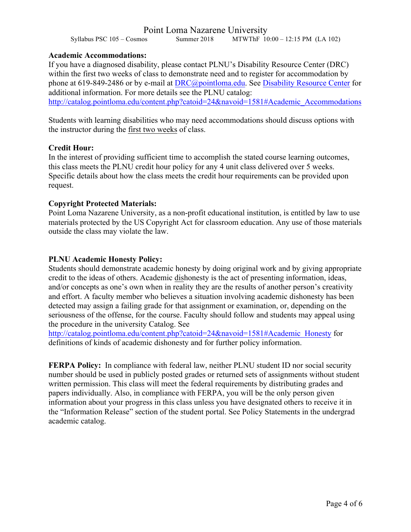## Point Loma Nazarene University

Syllabus PSC 105 – Cosmos Summer 2018 MTWThF 10:00 – 12:15 PM (LA 102)

#### **Academic Accommodations:**

If you have a diagnosed disability, please contact PLNU's Disability Resource Center (DRC) within the first two weeks of class to demonstrate need and to register for accommodation by phone at 619-849-2486 or by e-mail at DRC@pointloma.edu. See Disability Resource Center for additional information. For more details see the PLNU catalog: http://catalog.pointloma.edu/content.php?catoid=24&navoid=1581#Academic\_Accommodations

Students with learning disabilities who may need accommodations should discuss options with the instructor during the first two weeks of class.

#### **Credit Hour:**

In the interest of providing sufficient time to accomplish the stated course learning outcomes, this class meets the PLNU credit hour policy for any 4 unit class delivered over 5 weeks. Specific details about how the class meets the credit hour requirements can be provided upon request.

#### **Copyright Protected Materials:**

Point Loma Nazarene University, as a non-profit educational institution, is entitled by law to use materials protected by the US Copyright Act for classroom education. Any use of those materials outside the class may violate the law.

#### **PLNU Academic Honesty Policy:**

Students should demonstrate academic honesty by doing original work and by giving appropriate credit to the ideas of others. Academic dishonesty is the act of presenting information, ideas, and/or concepts as one's own when in reality they are the results of another person's creativity and effort. A faculty member who believes a situation involving academic dishonesty has been detected may assign a failing grade for that assignment or examination, or, depending on the seriousness of the offense, for the course. Faculty should follow and students may appeal using the procedure in the university Catalog. See

http://catalog.pointloma.edu/content.php?catoid=24&navoid=1581#Academic\_Honesty for definitions of kinds of academic dishonesty and for further policy information.

**FERPA Policy:** In compliance with federal law, neither PLNU student ID nor social security number should be used in publicly posted grades or returned sets of assignments without student written permission. This class will meet the federal requirements by distributing grades and papers individually. Also, in compliance with FERPA, you will be the only person given information about your progress in this class unless you have designated others to receive it in the "Information Release" section of the student portal. See Policy Statements in the undergrad academic catalog.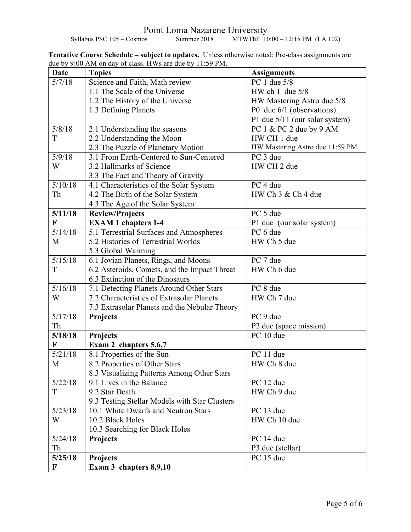Point Loma Nazarene University Syllabus PSC 105 – Cosmos Summer 2018 MTWThF 10:00 – 12:15 PM (LA 102)

**Tentative Course Schedule – subject to updates.** Unless otherwise noted: Pre-class assignments are due by 9:00 AM on day of class. HWs are due by 11:59 PM.

| <b>Date</b>       | <b>Topics</b>                                 | <b>Assignments</b>              |
|-------------------|-----------------------------------------------|---------------------------------|
| 5/7/18            | Science and Faith, Math review                | PC 1 due 5/8                    |
|                   | 1.1 The Scale of the Universe                 | HW ch $1$ due $5/8$             |
|                   | 1.2 The History of the Universe               | HW Mastering Astro due 5/8      |
|                   | 1.3 Defining Planets                          | P0 due 6/1 (observations)       |
|                   |                                               | P1 due 5/11 (our solar system)  |
| 5/8/18            | 2.1 Understanding the seasons                 | PC 1 & PC 2 due by 9 AM         |
| T                 | 2.2 Understanding the Moon                    | HW CH 1 due                     |
|                   | 2.3 The Puzzle of Planetary Motion            | HW Mastering Astro due 11:59 PM |
| 5/9/18            | 3.1 From Earth-Centered to Sun-Centered       | PC 3 due                        |
| W                 | 3.2 Hallmarks of Science                      | HW CH 2 due                     |
|                   | 3.3 The Fact and Theory of Gravity            |                                 |
| 5/10/18           | 4.1 Characteristics of the Solar System       | PC 4 due                        |
| Th                | 4.2 The Birth of the Solar System             | HW Ch 3 & Ch 4 due              |
|                   | 4.3 The Age of the Solar System               |                                 |
| 5/11/18           | <b>Review/Projects</b>                        | PC 5 due                        |
| F                 | <b>EXAM 1 chapters 1-4</b>                    | P1 due (our solar system)       |
| $\frac{5}{14/18}$ | 5.1 Terrestrial Surfaces and Atmospheres      | PC 6 due                        |
| M                 | 5.2 Histories of Terrestrial Worlds           | HW Ch 5 due                     |
|                   | 5.3 Global Warming                            |                                 |
| 5/15/18           | 6.1 Jovian Planets, Rings, and Moons          | PC 7 due                        |
| T                 | 6.2 Asteroids, Comets, and the Impact Threat  | HW Ch 6 due                     |
|                   | 6.3 Extinction of the Dinosaurs               |                                 |
| 5/16/18           | 7.1 Detecting Planets Around Other Stars      | PC 8 due                        |
| W                 | 7.2 Characteristics of Extrasolar Planets     | HW Ch 7 due                     |
|                   | 7.3 Extrasolar Planets and the Nebular Theory |                                 |
| 5/17/18           | <b>Projects</b>                               | PC 9 due                        |
| Th                |                                               | P2 due (space mission)          |
| 5/18/18           | Projects                                      | PC 10 due                       |
| F                 | Exam 2 chapters 5,6,7                         |                                 |
| 5/21/18           | 8.1 Properties of the Sun                     | PC 11 due                       |
| M                 | 8.2 Properties of Other Stars                 | HW Ch 8 due                     |
|                   | 8.3 Visualizing Patterns Among Other Stars    |                                 |
| 5/22/18           | 9.1 Lives in the Balance                      | PC 12 due                       |
| T                 | 9.2 Star Death                                | HW Ch 9 due                     |
|                   | 9.3 Testing Stellar Models with Star Clusters |                                 |
| 5/23/18           | 10.1 White Dwarfs and Neutron Stars           | PC 13 due                       |
| W                 | 10.2 Black Holes                              | HW Ch 10 due                    |
|                   | 10.3 Searching for Black Holes                |                                 |
| 5/24/18           | Projects                                      | PC 14 due                       |
| Th                |                                               | P3 due (stellar)                |
| 5/25/18           | <b>Projects</b>                               | PC 15 due                       |
| F                 | Exam 3 chapters 8,9,10                        |                                 |